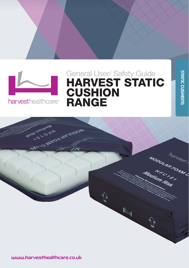

harvesthealthcare<sup>®</sup>

## General User/ Safety Guide HARVEST STATIC **CUSHION** RANGE

STATIC CUSHIONS

**STATIC CUSHIONS** 



<sup>E</sup> sales@harvesthealthcare.co.uk www.harvesthealthcare.co.uk 1 www.harvesthealthcare.co.uk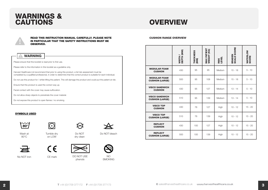



#### READ THIS INSTRUCTION MANUAL CAREFULLY. PLEASE NOTE THE CUSHION RANGE OVERVIEW IN PARTICULAR THAT THE SAFETY INSTRUCTIONS MUST BE OBSERVED.

## WARNING Please ensure that this booklet is read prior to first use.

Please refer to the information in this booklet as a guideline only.

Harvest Healthcare Ltd recommend that prior to using this product, a full risk assessment must be completed by a qualified professional, in order to determine that the correct product is suitable for each individual.

Do not use this product for / whilst lifting the patient. This will damage the product and could put the patient at risk.

Ensure that this product is used the correct way up.

Facial contact with the cover may cause suffocation.

Do not allow sharp objects to prenetrate the cover material.

Do not expose this product to open flames / no smoking.

#### SYMBOLS USED





on LOW



Do NOT dry clean



Wash at 80°C

Tumble dry

Do NOT bleach



 $\epsilon$ 



phenols

No NOT iron CE mark DO NOT USE NO



|                                                 | WIDTH /<br>DEPTH (MM) | THICKNESS<br>(MM) | <b>MAX PATIENT<br/>WEIGHT (KG)</b> | RISK<br>LEVEL | <b>BRADEN<br/>SCALE SCORE</b> | <b>WATERLOW</b><br>SCORE |
|-------------------------------------------------|-----------------------|-------------------|------------------------------------|---------------|-------------------------------|--------------------------|
| <b>MODULAR FOAM</b><br><b>CUSHION</b>           | 430                   | 95                | 95                                 | Medium        | $15 - 18$                     | $5 - 10$                 |
| <b>MODULAR FOAM</b><br><b>CUSHION (LARGE)</b>   | 500                   | 95                | 108                                | Medium        | $15 - 18$                     | $5 - 10$                 |
| <b>VISCO SANDWICH</b><br><b>CUSHION</b>         | 430                   | 95                | 127                                | Medium        | $13 - 14$                     | $5 - 10$                 |
| <b>VISCO SANDWICH</b><br><b>CUSHION (LARGE)</b> | 510                   | 95                | 139                                | Medium        | $13 - 14$                     | $5 - 10$                 |
| <b>VISCO TOP</b><br><b>CUSHION</b>              | 430                   | 76                | 127                                | High          | $10 - 12$                     | $15 - 20$                |
| <b>VISCO TOP</b><br><b>CUSHION (LARGE)</b>      | 510                   | 76                | 139                                | High          | $10 - 12$                     | $15 - 20$                |
| <b>REFLECT</b><br><b>CUSHION</b>                | 430                   | 100               | 127                                | High          | $10 - 12$                     | $15 - 20$                |
| <b>REFLECT</b><br><b>CUSHION (LARGE)</b>        | 500                   | 100               | 139                                | High          | $10 - 12$                     | $15 - 20$                |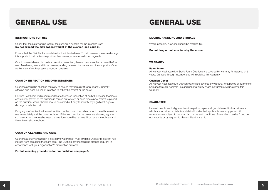# GENERAL USE

#### INSTRUCTIONS FOR USE

Check that the safe working load of the cushion is suitable for the intended user. Do not exceed the max patient weight of the cushion (see page 3).

Ensure that the Risk Factor is suitable for the intended user. To help prevent pressure damage it is important that patients reposition themselves, or are repositioned regularly.

Cushions are delivered in plastic covers for protection; these covers must be removed before use. Avoid using any additional covers/padding between the patient and the support surface, as this may affect its pressure reducing qualities.

#### CUSHION INSPECTION RECOMMENDATIONS

Cushions should be checked regularly to ensure they remain 'fit for purpose', clinically effective and pose no risk of infection to either the patient or the carer.

Harvest Healthcare Ltd recommend that a thorough inspection of both the interior (foamcore) and exterior (cover) of the cushion is carried out weekly, or each time a new patient is placed on the cushion. Visual checks should be carried out daily to identify any significant signs of damage or infection risk.

If any signs of contamination are identified on the cover, thecushion should be withdrawn from use immediately and the cover replaced. If the foam and/or the cover are showing signs of contamination or excessive wear the cushion should be removed from use immediately and the entire cushion replaced.

#### CUSHION CLEANING AND CARE

Cushions are fully encased in a protective waterproof, multi-stretch PU cover to prevent fluid ingress from damaging the foam core. The Cushion cover should be cleaned regularly in accordance with your organisation's disinfection protocol.

For full cleaning procedures for our cushions see page 6.

## GENERAL USE

#### MOVING, HANDLING AND STORAGE

Where possible, cushions should be stacked flat.

Do not drag or pull cushions by the cover.

#### WARRANTY

#### Foam Inner

All Harvest Healthcare Ltd Static Foam Cushions are covered by warranty for a period of 3 years. Damage through incorrect use will invalidate this warranty.

#### Cushion Cover

All Harvest Healthcare Ltd Cushion covers are covered by warranty for a period of 12 months. Damage through incorrect use and penetration by sharp instruments will invalidate this warranty.

#### **GUARANTEE**

Harvest Healthcare Ltd guarantees to repair or replace all goods issued to its customers which are found to be defective whilst still under their applicable warranty period. All warranties are subject to our standard terms and conditions of sale which can be found on our website or by request to Harvest Healthcare Ltd.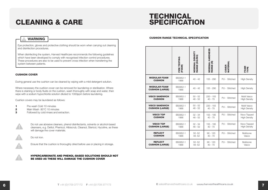# **CLEANING & CARE**

## WARNING

Eye protection, gloves and protective clothing should be worn when carrying out cleaning and disinfection procedures.

When disinfecting the system, Harvest Healthcare recommends the following guidelines which have been developed to comply with recognised infection control procedures. These procedures are also to be used to prevent cross infection when transferring the system between patients.

#### CUSHION COVER

During general use the cushion can be cleaned by wiping with a mild detergent solution.

Where necessary the cushion cover can be removed for laundering or sterilisation. Where there is staining or body fluids on the cushion, wash thoroughly with soap and water, then wipe with a sodium hypochlorite solution diluted to 1000ppm before laundering.

Cushion covers may be laundered as follows:

- 1 Pre wash Cold 10 minutes<br>2 Main Wash 80°C 10 minutes
- Main Wash 80°C 10 minutes
- **3** Followed by cold rinses and extraction.



Do not use abrasive cleaners, phenol disinfectants, solvents or alcohol-based cleansers, e.g. Dettol, Phenicol, Hibiscrub, Clearsol, Stericol, Hycoline, as these will damage the cover materials.

Do not iron.



Ensure that the cushion is thoroughly dried before use or placing in storage.

HYPERCARBONATE AND PHENOL-BASED SOLUTIONS SHOULD NOT BE USED AS THESE WILL DAMAGE THE CUSHION COVER

# **TECHNICAL<br>SPECIFICATION**

#### CUSHION RANGE TECHNICAL SPECIFICATION

|                                               | FIRE TESTING<br>(FOAM) | NOMINAL DENSITY<br>RANGE (KG/M3) | <b>NOMINAL HARDNESS</b><br>RANGE (N) | <b>COVER<br/>MATERIAL</b> | FOAM<br>TYPE        |
|-----------------------------------------------|------------------------|----------------------------------|--------------------------------------|---------------------------|---------------------|
| <b>MODULAR FOAM</b><br><b>CUSHION</b>         | BS5852-1<br>1988       | $40 - 42$                        | 155 - 290                            | PU - Stitched             | <b>High Density</b> |
| <b>MODULAR FOAM</b><br><b>CUSHION (LARGE)</b> | BS5852-1<br>1988       | $40 - 42$                        | 155 - 290                            | PU - Stitched             | <b>High Density</b> |
| <b>VISCO SANDWICH</b>                         | BS5852-1               | $50 - 52$                        | $220 - 155$                          | PU - Stitched             | Multi Vasco         |
| <b>CUSHION</b>                                | 1988                   | $48 - 52$                        | $40 - 70$                            |                           | <b>High Density</b> |
| <b>VISCO SANDWICH</b>                         | BS5852-1               | $50 - 52$                        | $220 - 155$                          | PU - Stitched             | Multi Vasco         |
| <b>CUSHION (LARGE)</b>                        | 1988                   | $48 - 52$                        | $40 - 70$                            |                           | <b>High Density</b> |
| <b>VISCO TOP</b>                              | BS5852-1               | $32 - 34$                        | 155 - 195                            | PU - Stitched             | Visco Topped        |
| <b>CUSHION</b>                                | 1988                   | $48 - 52$                        | $40 - 70$                            |                           | <b>High Density</b> |
| <b>VISCO TOP</b>                              | BS5852-1               | $32 - 34$                        | 155 - 195                            | PU - Stitched             | Visco Topped        |
| <b>CUSHION (LARGE)</b>                        | 1988                   | $48 - 52$                        | $40 - 70$                            |                           | <b>High Density</b> |
| <b>REFLECT</b>                                | BS5852-1               | $50 - 52$                        | $90 - 120$                           | PU - Stitched             | Multizone           |
| <b>CUSHION</b>                                | 1988                   | 48-52                            | $40 - 70$                            |                           | Vasco               |
| <b>REFLECT</b>                                | BS5852-1               | $50 - 52$                        | $90 - 120$                           | PU - Stitched             | Multizone           |
| <b>CUSHION (LARGE)</b>                        | 1988                   | 48-52                            | $40 - 70$                            |                           | Vasco               |